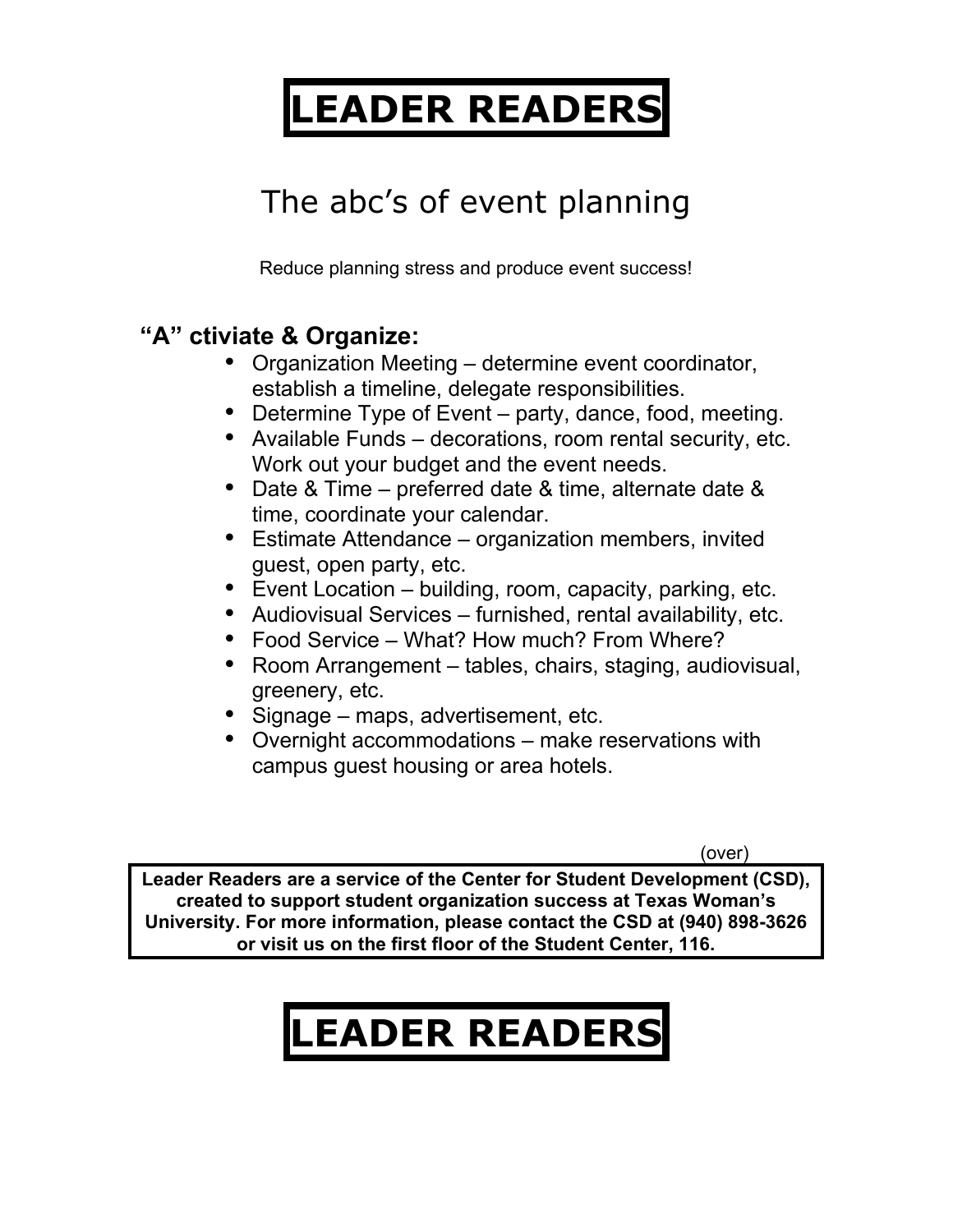## **LEADER READERS**

### The abc's of event planning

Reduce planning stress and produce event success!

#### **"A" ctiviate & Organize:**

- Organization Meeting determine event coordinator, establish a timeline, delegate responsibilities.
- Determine Type of Event party, dance, food, meeting.
- Available Funds decorations, room rental security, etc. Work out your budget and the event needs.
- Date & Time preferred date & time, alternate date & time, coordinate your calendar.
- Estimate Attendance organization members, invited guest, open party, etc.
- Event Location building, room, capacity, parking, etc.
- Audiovisual Services furnished, rental availability, etc.
- Food Service What? How much? From Where?
- Room Arrangement tables, chairs, staging, audiovisual, greenery, etc.
- Signage maps, advertisement, etc.
- Overnight accommodations make reservations with campus guest housing or area hotels.

(over)

**Leader Readers are a service of the Center for Student Development (CSD), created to support student organization success at Texas Woman's University. For more information, please contact the CSD at (940) 898-3626 or visit us on the first floor of the Student Center, 116.**

# **LEADER READERS**